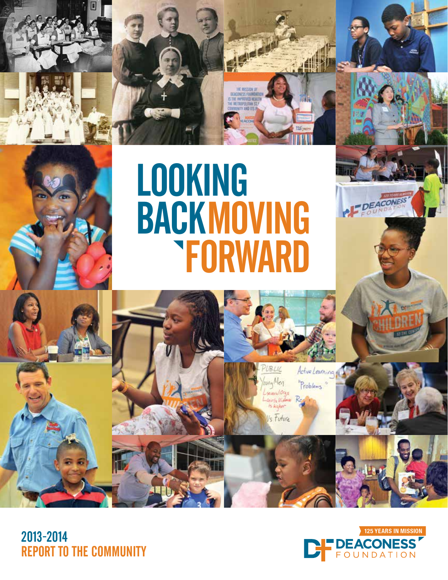# **BACKMOVING FORWARD** LOOKING

die eigh

2013-2014 REPORT TO THE COMMUNITY



Active Learning

Problems

loving Meg

several Oras is kahn Is Future **DEACONESS**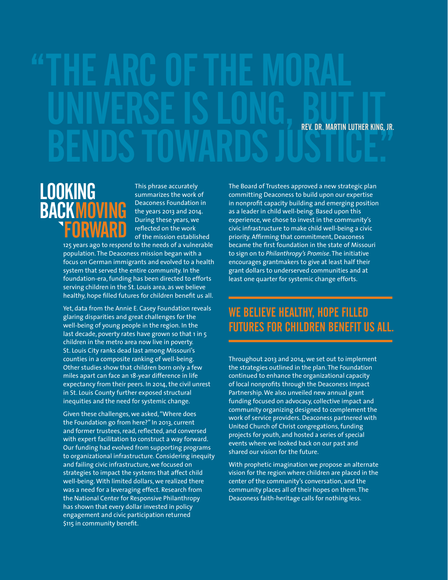# "THE ARC OF THE MORAL UNIVERSE IS LONG, BUT IT BENDS TOWARDS JUSTICE.

### MOVING FORWARD LOOKING BACK

This phrase accurately summarizes the work of Deaconess Foundation in the years 2013 and 2014. During these years, we reflected on the work of the mission established

125 years ago to respond to the needs of a vulnerable population. The Deaconess mission began with a focus on German immigrants and evolved to a health system that served the entire community. In the foundation-era, funding has been directed to efforts serving children in the St. Louis area, as we believe healthy, hope filled futures for children benefit us all.

Yet, data from the Annie E. Casey Foundation reveals glaring disparities and great challenges for the well-being of young people in the region. In the last decade, poverty rates have grown so that 1 in 5 children in the metro area now live in poverty. St. Louis City ranks dead last among Missouri's counties in a composite ranking of well-being. Other studies show that children born only a few miles apart can face an 18-year difference in life expectancy from their peers. In 2014, the civil unrest in St. Louis County further exposed structural inequities and the need for systemic change.

Given these challenges, we asked, "Where does the Foundation go from here?" In 2013, current and former trustees, read, reflected, and conversed with expert facilitation to construct a way forward. Our funding had evolved from supporting programs to organizational infrastructure. Considering inequity and failing civic infrastructure, we focused on strategies to impact the systems that affect child well-being. With limited dollars, we realized there was a need for a leveraging effect. Research from the National Center for Responsive Philanthropy has shown that every dollar invested in policy engagement and civic participation returned \$115 in community benefit.

The Board of Trustees approved a new strategic plan committing Deaconess to build upon our expertise in nonprofit capacity building and emerging position as a leader in child well-being. Based upon this experience, we chose to invest in the community's civic infrastructure to make child well-being a civic priority. Affirming that commitment, Deaconess became the first foundation in the state of Missouri to sign on to *Philanthropy's Promise*. The initiative encourages grantmakers to give at least half their grant dollars to underserved communities and at least one quarter for systemic change efforts.

#### WE BELIEVE HEALTHY, HOPE FILLED FUTURES FOR CHILDREN BENEFIT US ALL.

Throughout 2013 and 2014, we set out to implement the strategies outlined in the plan. The Foundation continued to enhance the organizational capacity of local nonprofits through the Deaconess Impact Partnership. We also unveiled new annual grant funding focused on advocacy, collective impact and community organizing designed to complement the work of service providers. Deaconess partnered with United Church of Christ congregations, funding projects for youth, and hosted a series of special events where we looked back on our past and shared our vision for the future.

With prophetic imagination we propose an alternate vision for the region where children are placed in the center of the community's conversation, and the community places all of their hopes on them. The Deaconess faith-heritage calls for nothing less.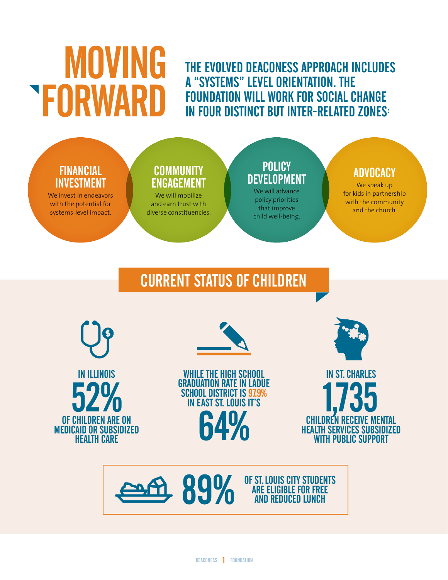# MOVING FORWARD

THE EVOLVED DEACONESS APPROACH INCLUDES A "SYSTEMS" LEVEL ORIENTATION. THE FOUNDATION WILL WORK FOR SOCIAL CHANGE IN FOUR DISTINCT BUT INTER-RELATED ZONES:

#### FINANCIAL INVESTMENT

We invest in endeavors with the potential for systems-level impact.

#### **COMMUNITY** ENGAGEMENT

We will mobilize and earn trust with diverse constituencies.

#### **POLICY DEVELOPMENT**

We will advance policy priorities that improve child well-being.

#### ADVOCACY

We speak up for kids in partnership with the community and the church.

# CURRENT STATUS OF CHILDREN





WHILE THE HIGH SCHOOL GRADUATION RATE IN LADUE SCHOOL DISTRICT IS 97.9% IN EAST ST. LOUIS IT'S 64%



IN ST. CHARLES CHILDREN RECEIVE HEALTH SERVICES SUBSIDIZED WITH PUBLIC SUPPORT

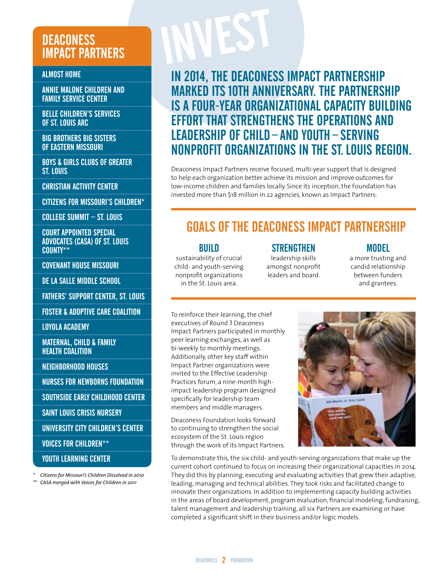#### **DEACONESS** IMPACT PARTNERS

ALMOST HOME

ANNIE MALONE CHILDREN AND FAMILY SERVICE CENTER

BELLE CHILDREN'S SERVICES OF ST. LOUIS ARC

BIG BROTHERS BIG SISTERS OF EASTERN MISSOURI

BOYS & GIRLS CLUBS OF GREATER ST. LOUIS

CHRISTIAN ACTIVITY CENTER

CITIZENS FOR MISSOURI'S CHILDREN\*

COLLEGE SUMMIT – ST. LOUIS

COURT APPOINTED SPECIAL ADVOCATES (CASA) OF ST. LOUIS COUNTY\*\*

COVENANT HOUSE MISSOURI

DE LA SALLE MIDDLE SCHOOL

FATHERS' SUPPORT CENTER, ST. LOUIS

FOSTER & ADOPTIVE CARE COALITION

LOYOLA ACADEMY

MATERNAL, CHILD & FAMILY HEALTH COALITION

NEIGHBORHOOD HOUSES

NURSES FOR NEWBORNS FOUNDATION

SOUTHSIDE EARLY CHILDHOOD CENTER

SAINT LOUIS CRISIS NURSERY

UNIVERSITY CITY CHILDREN'S CENTER

VOICES FOR CHILDREN\*\*

#### YOUTH LEARNING CENTER

*\* Citizens for Missouri's Children Dissolved in 2010*

*\*\* CASA merged with Voices for Children in 2011*

### IN 2014, THE DEACONESS IMPACT PARTNERSHIP MARKED ITS 10TH ANNIVERSARY. THE PARTNERSHIP IS A FOUR-YEAR ORGANIZATIONAL CAPACITY BUILDING EFFORT THAT STRENGTHENS THE OPERATIONS AND LEADERSHIP OF CHILD – AND YOUTH – SERVING NONPROFIT ORGANIZATIONS IN THE ST. LOUIS REGION.

Deaconess Impact Partners receive focused, multi-year support that is designed to help each organization better achieve its mission and improve outcomes for low-income children and families locally. Since its inception, the Foundation has invested more than \$18 million in 22 agencies, known as Impact Partners.

### GOALS OF THE DEACONESS IMPACT PARTNERSHIP

#### BUILD

sustainability of crucial child- and youth-serving nonprofit organizations in the St. Louis area.

**STRENGTHEN** leadership skills amongst nonprofit leaders and board.

#### MODEL

a more trusting and candid relationship between funders and grantees.

To reinforce their learning, the chief executives of Round 3 Deaconess Impact Partners participated in monthly peer learning exchanges, as well as bi-weekly to monthly meetings. Additionally, other key staff within Impact Partner organizations were invited to the Effective Leadership Practices forum, a nine-month highimpact leadership program designed specifically for leadership team members and middle managers.

Deaconess Foundation looks forward to continuing to strengthen the social ecosystem of the St. Louis region through the work of its Impact Partners.



To demonstrate this, the six child- and youth-serving organizations that make up the current cohort continued to focus on increasing their organizational capacities in 2014. They did this by planning, executing and evaluating activities that grew their adaptive, leading, managing and technical abilities. They took risks and facilitated change to innovate their organizations. In addition to implementing capacity building activities in the areas of board development, program evaluation, financial modeling, fundraising, talent management and leadership training, all six Partners are examining or have completed a significant shift in their business and/or logic models.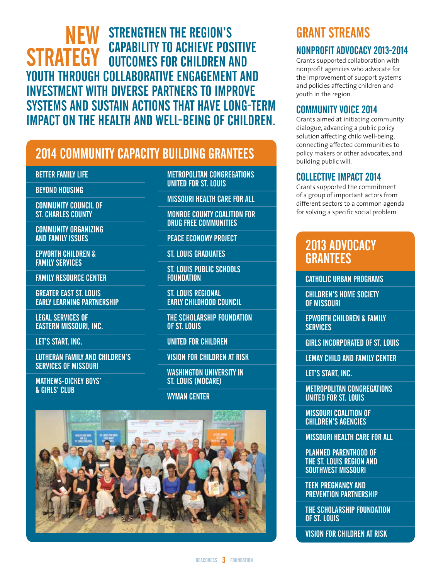#### STRENGTHEN THE REGION'S CAPABILITY TO ACHIEVE POSITIVE OUTCOMES FOR CHILDREN AND YOUTH THROUGH COLLABORATIVE ENGAGEMENT AND INVESTMENT WITH DIVERSE PARTNERS TO IMPROVE SYSTEMS AND SUSTAIN ACTIONS THAT HAVE LONG-TERM IMPACT ON THE HEALTH AND WELL-BEING OF CHILDREN. NEW **STRATEGY**

### 2014 COMMUNITY CAPACITY BUILDING GRANTEES

BETTER FAMILY LIFE

BEYOND HOUSING

COMMUNITY COUNCIL OF ST. CHARLES COUNTY

COMMUNITY ORGANIZING AND FAMILY ISSUES

EPWORTH CHILDREN & FAMILY SERVICES

FAMILY RESOURCE CENTER

GREATER EAST ST. LOUIS EARLY LEARNING PARTNERSHIP

LEGAL SERVICES OF EASTERN MISSOURI, INC.

LET'S START, INC.

LUTHERAN FAMILY AND CHILDREN'S SERVICES OF MISSOURI

MATHEWS-DICKEY BOYS' & GIRLS' CLUB

METROPOLITAN CONGREGATIONS UNITED FOR ST. LOUIS

MISSOURI HEALTH CARE FOR ALL

MONROE COUNTY COALITION FOR DRUG FREE COMMUNITIES

PEACE ECONOMY PROJECT

ST. LOUIS GRADUATES

ST. LOUIS PUBLIC SCHOOLS **FOUNDATION** 

ST. LOUIS REGIONAL EARLY CHILDHOOD COUNCIL

THE SCHOLARSHIP FOUNDATION OF ST. LOUIS

UNITED FOR CHILDREN

VISION FOR CHILDREN AT RISK

WASHINGTON UNIVERSITY IN ST. LOUIS (MOCARE)

WYMAN CENTER



# GRANT STREAMS

#### NONPROFIT ADVOCACY 2013-2014

Grants supported collaboration with nonprofit agencies who advocate for the improvement of support systems and policies affecting children and youth in the region.

#### COMMUNITY VOICE 2014

Grants aimed at initiating community dialogue, advancing a public policy solution affecting child well-being, connecting affected communities to policy makers or other advocates, and building public will.

#### COLLECTIVE IMPACT 2014

Grants supported the commitment of a group of important actors from different sectors to a common agenda for solving a specific social problem.

#### 2013 ADVOCACY **GRANTEES**

CATHOLIC URBAN PROGRAMS

CHILDREN'S HOME SOCIETY OF MISSOURI

EPWORTH CHILDREN & FAMILY **SERVICES** 

GIRLS INCORPORATED OF ST. LOUIS

LEMAY CHILD AND FAMILY CENTER

LET'S START, INC.

METROPOLITAN CONGREGATIONS UNITED FOR ST. LOUIS

MISSOURI COALITION OF CHILDREN'S AGENCIES

MISSOURI HEALTH CARE FOR ALL

PLANNED PARENTHOOD OF THE ST. LOUIS REGION AND SOUTHWEST MISSOURI

TEEN PREGNANCY AND PREVENTION PARTNERSHIP

THE SCHOLARSHIP FOUNDATION OF ST. LOUIS

VISION FOR CHILDREN AT RISK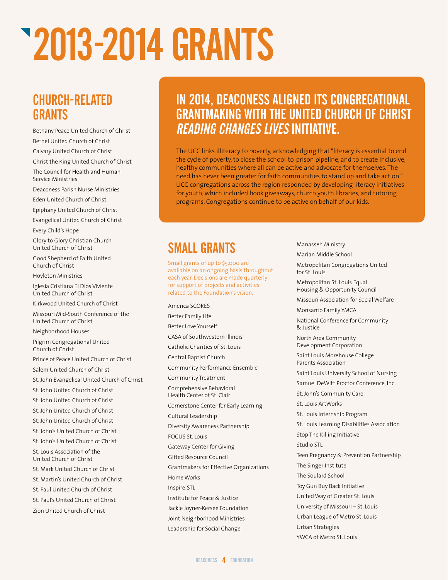# 2013-2014 GRANTS

#### CHURCH-RELATED **GRANTS**

Bethany Peace United Church of Christ Bethel United Church of Christ Calvary United Church of Christ

Christ the King United Church of Christ

The Council for Health and Human Service Ministries

Deaconess Parish Nurse Ministries Eden United Church of Christ

Epiphany United Church of Christ

Evangelical United Church of Christ Every Child's Hope

Glory to Glory Christian Church United Church of Christ

Good Shepherd of Faith United Church of Christ

Hoyleton Ministries

Iglesia Cristiana El Dios Viviente United Church of Christ

Kirkwood United Church of Christ

Missouri Mid-South Conference of the United Church of Christ

Neighborhood Houses

Pilgrim Congregational United Church of Christ

Prince of Peace United Church of Christ Salem United Church of Christ St. John Evangelical United Church of Christ

St. John United Church of Christ

St. John United Church of Christ

St. John United Church of Christ

St. John United Church of Christ

St. John's United Church of Christ

St. John's United Church of Christ

St. Louis Association of the United Church of Christ

St. Mark United Church of Christ

St. Martin's United Church of Christ

St. Paul United Church of Christ

St. Paul's United Church of Christ

Zion United Church of Christ

### IN 2014, DEACONESS ALIGNED ITS CONGREGATIONAL GRANTMAKING WITH THE UNITED CHURCH OF CHRIST READING CHANGES LIVES INITIATIVE.

The UCC links illiteracy to poverty, acknowledging that "literacy is essential to end the cycle of poverty, to close the school-to-prison pipeline, and to create inclusive, healthy communities where all can be active and advocate for themselves. The need has never been greater for faith communities to stand up and take action." UCC congregations across the region responded by developing literacy initiatives for youth, which included book giveaways, church youth libraries, and tutoring programs. Congregations continue to be active on behalf of our kids.

### SMALL GRANTS

America SCORES

Small grants of up to \$5,000 are available on an ongoing basis throughout each year. Decisions are made quarterly for support of projects and activities related to the Foundation's vision.

Better Family Life Better Love Yourself CASA of Southwestern Illinois Catholic Charities of St. Louis Central Baptist Church Community Performance Ensemble Community Treatment Comprehensive Behavioral Health Center of St. Clair Cornerstone Center for Early Learning Cultural Leadership Diversity Awareness Partnership FOCUS St. Louis Gateway Center for Giving Gifted Resource Council Grantmakers for Effective Organizations Home Works Inspire-STL Institute for Peace & Justice Jackie Joyner-Kersee Foundation Joint Neighborhood Ministries Leadership for Social Change

Manasseh Ministry

Marian Middle School

Metropolitan Congregations United for St. Louis

Metropolitan St. Louis Equal Housing & Opportunity Council

Missouri Association for Social Welfare

Monsanto Family YMCA

National Conference for Community & Justice

North Area Community Development Corporation

Saint Louis Morehouse College Parents Association

Saint Louis University School of Nursing

Samuel DeWitt Proctor Conference, Inc.

St. John's Community Care

St. Louis ArtWorks St. Louis Internship Program

St. Louis Learning Disabilities Association

Stop The Killing Initiative

Studio STL

Teen Pregnancy & Prevention Partnership

The Singer Institute

The Soulard School

Toy Gun Buy Back Initiative

United Way of Greater St. Louis

University of Missouri – St. Louis

Urban League of Metro St. Louis

Urban Strategies

YWCA of Metro St. Louis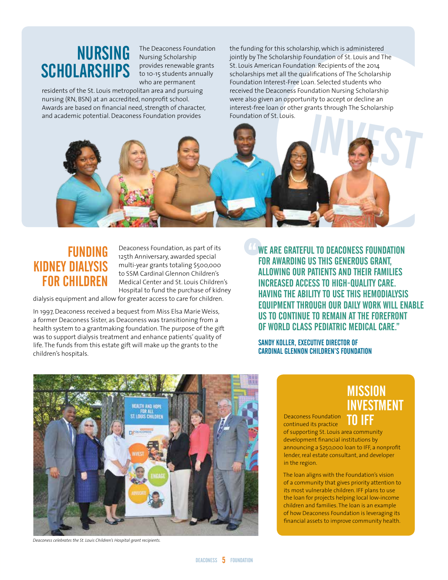# **SCHOLARSHIPS**

The Deaconess Foundation NURSING The Deaconess Found provides renewable grants to 10-15 students annually who are permanent

residents of the St. Louis metropolitan area and pursuing nursing (RN, BSN) at an accredited, nonprofit school. Awards are based on financial need, strength of character, and academic potential. Deaconess Foundation provides

the funding for this scholarship, which is administered jointly by The Scholarship Foundation of St. Louis and The St. Louis American Foundation. Recipients of the 2014 scholarships met all the qualifications of The Scholarship Foundation Interest-Free Loan. Selected students who received the Deaconess Foundation Nursing Scholarship were also given an opportunity to accept or decline an interest-free loan or other grants through The Scholarship Foundation of St. Louis.



#### FUNDING KIDNEY DIALYSIS FOR CHILDREN

Deaconess Foundation, as part of its 125th Anniversary, awarded special multi-year grants totaling \$500,000 to SSM Cardinal Glennon Children's Medical Center and St. Louis Children's Hospital to fund the purchase of kidney

dialysis equipment and allow for greater access to care for children.

In 1997, Deaconess received a bequest from Miss Elsa Marie Weiss, a former Deaconess Sister, as Deaconess was transitioning from a health system to a grantmaking foundation. The purpose of the gift was to support dialysis treatment and enhance patients' quality of life. The funds from this estate gift will make up the grants to the children's hospitals.

WE ARE GRATEFUL TO DEACONESS FOUNDATION FOR AWARDING US THIS GENEROUS GRANT, ALLOWING OUR PATIENTS AND THEIR FAMILIES INCREASED ACCESS TO HIGH-QUALITY CARE. HAVING THE ABILITY TO USE THIS HEMODIALYSIS EQUIPMENT THROUGH OUR DAILY WORK WILL ENABLE US TO CONTINUE TO REMAIN AT THE FOREFRONT OF WORLD CLASS PEDIATRIC MEDICAL CARE."

SANDY KOLLER, EXECUTIVE DIRECTOR OF CARDINAL GLENNON CHILDREN'S FOUNDATION



*Deaconess celebrates the St. Louis Children's Hospital grant recipients.*

#### **MISSION** INVESTMENT TO IFF

Deaconess Foundation continued its practice

of supporting St. Louis area community development financial institutions by announcing a \$250,000 loan to IFF, a nonprofit lender, real estate consultant, and developer in the region.

The loan aligns with the Foundation's vision of a community that gives priority attention to its most vulnerable children. IFF plans to use the loan for projects helping local low-income children and families. The loan is an example of how Deaconess Foundation is leveraging its financial assets to improve community health.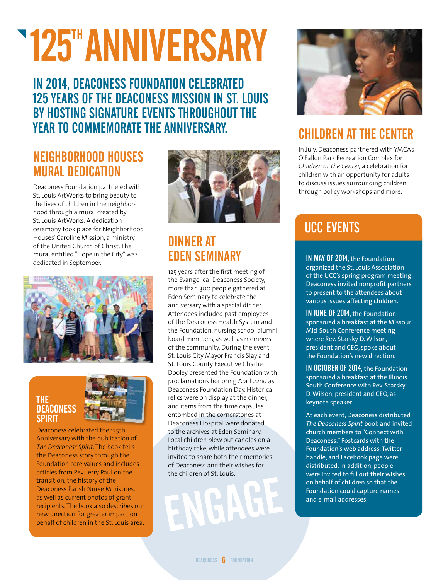# **125" ANNIVERSARY**

IN 2014, DEACONESS FOUNDATION CELEBRATED 125 YEARS OF THE DEACONESS MISSION IN ST. LOUIS BY HOSTING SIGNATURE EVENTS THROUGHOUT THE YEAR TO COMMEMORATE THE ANNIVERSARY.

### NEIGHBORHOOD HOUSES MURAL DEDICATION

Deaconess Foundation partnered with St. Louis ArtWorks to bring beauty to the lives of children in the neighborhood through a mural created by St. Louis ArtWorks. A dedication ceremony took place for Neighborhood Houses' Caroline Mission, a ministry of the United Church of Christ. The mural entitled "Hope in the City" was dedicated in September.



#### THE **DEACONESS SPIRIT**



Deaconess celebrated the 125th Anniversary with the publication of *The Deaconess Spirit*. The book tells the Deaconess story through the Foundation core values and includes articles from Rev. Jerry Paul on the transition, the history of the Deaconess Parish Nurse Ministries, as well as current photos of grant recipients. The book also describes our new direction for greater impact on behalf of children in the St. Louis area.



#### DINNER AT EDEN SEMINARY

125 years after the first meeting of the Evangelical Deaconess Society, more than 300 people gathered at Eden Seminary to celebrate the anniversary with a special dinner. Attendees included past employees of the Deaconess Health System and the Foundation, nursing school alumni, board members, as well as members of the community. During the event, St. Louis City Mayor Francis Slay and St. Louis County Executive Charlie Dooley presented the Foundation with proclamations honoring April 22nd as Deaconess Foundation Day. Historical relics were on display at the dinner, and items from the time capsules entombed in the cornerstones at Deaconess Hospital were donated to the archives at Eden Seminary. Local children blew out candles on a birthday cake, while attendees were invited to share both their memories of Deaconess and their wishes for the children of St. Louis.

EMGHEF



# CHILDREN AT THE CENTER

In July, Deaconess partnered with YMCA's O'Fallon Park Recreation Complex for *Children at the Center,* a celebration for children with an opportunity for adults to discuss issues surrounding children through policy workshops and more.

# UCC EVENTS

IN MAY OF 2014, the Foundation organized the St. Louis Association of the UCC's spring program meeting. Deaconess invited nonprofit partners to present to the attendees about various issues affecting children.

IN JUNE OF 2014, the Foundation sponsored a breakfast at the Missouri Mid-South Conference meeting where Rev. Starsky D. Wilson, president and CEO, spoke about the Foundation's new direction.

IN OCTOBER OF 2014, the Foundation sponsored a breakfast at the Illinois South Conference with Rev. Starsky D. Wilson, president and CEO, as keynote speaker.

At each event, Deaconess distributed *The Deaconess Spirit* book and invited church members to "Connect with Deaconess." Postcards with the Foundation's web address, Twitter handle, and Facebook page were distributed. In addition, people were invited to fill out their wishes on behalf of children so that the Foundation could capture names and e-mail addresses.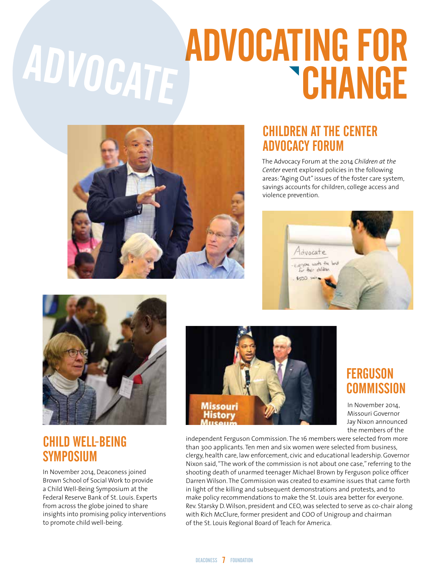# ADVOCATING FOR ADVOCATE



#### CHILDREN AT THE CENTER ADVOCACY FORUM

The Advocacy Forum at the 2014 *Children at the Center* event explored policies in the following areas: "Aging Out" issues of the foster care system, savings accounts for children, college access and violence prevention.





### CHILD WELL-BEING **SYMPOSIUM**

In November 2014, Deaconess joined Brown School of Social Work to provide a Child Well-Being Symposium at the Federal Reserve Bank of St. Louis. Experts from across the globe joined to share insights into promising policy interventions to promote child well-being.



#### **FERGUSON COMMISSION**

In November 2014, Missouri Governor Jay Nixon announced the members of the

independent Ferguson Commission. The 16 members were selected from more than 300 applicants. Ten men and six women were selected from business, clergy, health care, law enforcement, civic and educational leadership. Governor Nixon said, "The work of the commission is not about one case," referring to the shooting death of unarmed teenager Michael Brown by Ferguson police officer Darren Wilson. The Commission was created to examine issues that came forth in light of the killing and subsequent demonstrations and protests, and to make policy recommendations to make the St. Louis area better for everyone. Rev. Starsky D. Wilson, president and CEO, was selected to serve as co-chair along with Rich McClure, former president and COO of Unigroup and chairman of the St. Louis Regional Board of Teach for America.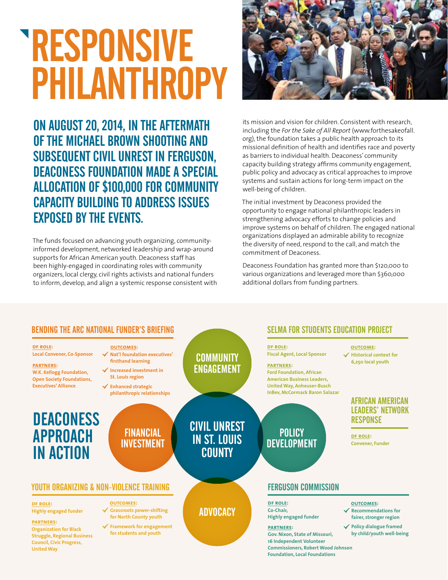# RESPONSIVE PHILANTHROPY

ON AUGUST 20, 2014, IN THE AFTERMATH OF THE MICHAEL BROWN SHOOTING AND SUBSEQUENT CIVIL UNREST IN FERGUSON, DEACONESS FOUNDATION MADE A SPECIAL ALLOCATION OF \$100,000 FOR COMMUNITY CAPACITY BUILDING TO ADDRESS ISSUES EXPOSED BY THE EVENTS.

The funds focused on advancing youth organizing, communityinformed development, networked leadership and wrap-around supports for African American youth. Deaconess staff has been highly-engaged in coordinating roles with community organizers, local clergy, civil rights activists and national funders to inform, develop, and align a systemic response consistent with



its mission and vision for children. Consistent with research, including the *For the Sake of All Report* (www.forthesakeofall. org), the foundation takes a public health approach to its missional definition of health and identifies race and poverty as barriers to individual health. Deaconess' community capacity building strategy affirms community engagement, public policy and advocacy as critical approaches to improve systems and sustain actions for long-term impact on the well-being of children.

The initial investment by Deaconess provided the opportunity to engage national philanthropic leaders in strengthening advocacy efforts to change policies and improve systems on behalf of children. The engaged national organizations displayed an admirable ability to recognize the diversity of need, respond to the call, and match the commitment of Deaconess.

Deaconess Foundation has granted more than \$120,000 to various organizations and leveraged more than \$360,000 additional dollars from funding partners.

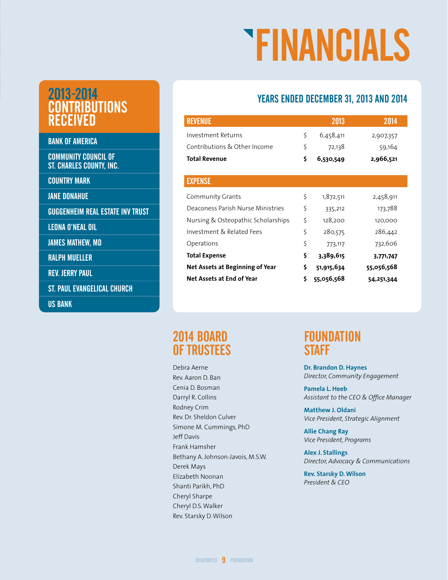# FINANCIALS

#### YEARS ENDED DECEMBER 31, 2013 AND 2014

| <b>REVENUE</b>                     |    | 2013       | 2014       |
|------------------------------------|----|------------|------------|
| Investment Returns                 | \$ | 6,458,411  | 2,907,357  |
| Contributions & Other Income       | \$ | 72,138     | 59,164     |
| <b>Total Revenue</b>               | \$ | 6,530,549  | 2,966,521  |
|                                    |    |            |            |
| <b>EXPENSE</b>                     |    |            |            |
| Community Grants                   | \$ | 1,872,511  | 2,458,911  |
| Deaconess Parish Nurse Ministries  | \$ | 335,212    | 173,788    |
| Nursing & Osteopathic Scholarships | \$ | 128,200    | 120,000    |
| Investment & Related Fees          | \$ | 280,575    | 286,442    |
| Operations                         | \$ | 773,117    | 732,606    |
| <b>Total Expense</b>               | \$ | 3,389,615  | 3,771,747  |
| Net Assets at Beginning of Year    | \$ | 51,915,634 | 55,056,568 |
| Net Assets at End of Year          | Ś  | 55,056,568 | 54,251,344 |

#### 2013-2014 CONTRIBUTIONS RECEIVED

BANK OF AMERICA

COMMUNITY COUNCIL OF ST. CHARLES COUNTY, INC.

COUNTRY MARK

JANE DONAHUE

GUGGENHEIM REAL ESTATE INV TRUST

LEONA O'NEAL OIL

JAMES MATHEW, MD

RALPH MUELLER

REV. JERRY PAUL

ST. PAUL EVANGELICAL CHURCH

US BANK

#### 2014 BOARD OF TRUSTEES

Debra Aerne Rev. Aaron D. Ban Cenia D. Bosman Darryl R. Collins Rodney Crim Rev. Dr. Sheldon Culver Simone M. Cummings, PhD Jeff Davis Frank Hamsher Bethany A. Johnson-Javois, M.S.W. Derek Mays Elizabeth Noonan Shanti Parikh, PhD Cheryl Sharpe Cheryl D.S. Walker Rev. Starsky D. Wilson

#### **FOUNDATION STAFF**

**Dr. Brandon D. Haynes** *Director, Community Engagement* 

**Pamela L. Heeb** *Assistant to the CEO & Office Manager*

**Matthew J. Oldani** *Vice President, Strategic Alignment*

**Allie Chang Ray** *Vice President, Programs*

**Alex J. Stallings** *Director, Advocacy & Communications*

**Rev. Starsky D.Wilson** *President & CEO*